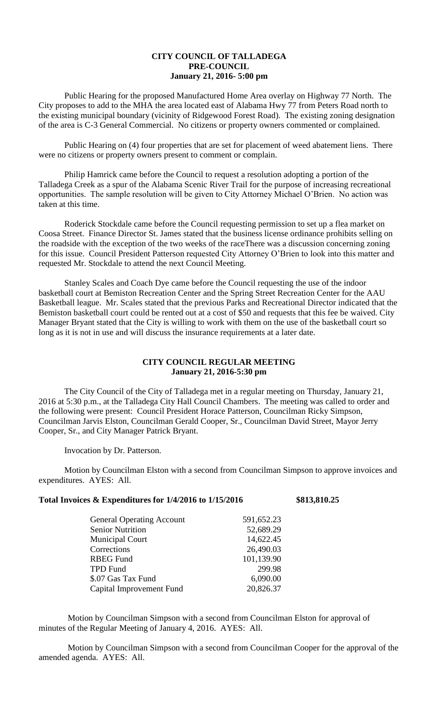## **CITY COUNCIL OF TALLADEGA PRE-COUNCIL January 21, 2016- 5:00 pm**

Public Hearing for the proposed Manufactured Home Area overlay on Highway 77 North. The City proposes to add to the MHA the area located east of Alabama Hwy 77 from Peters Road north to the existing municipal boundary (vicinity of Ridgewood Forest Road). The existing zoning designation of the area is C-3 General Commercial. No citizens or property owners commented or complained.

Public Hearing on (4) four properties that are set for placement of weed abatement liens. There were no citizens or property owners present to comment or complain.

Philip Hamrick came before the Council to request a resolution adopting a portion of the Talladega Creek as a spur of the Alabama Scenic River Trail for the purpose of increasing recreational opportunities. The sample resolution will be given to City Attorney Michael O'Brien. No action was taken at this time.

Roderick Stockdale came before the Council requesting permission to set up a flea market on Coosa Street. Finance Director St. James stated that the business license ordinance prohibits selling on the roadside with the exception of the two weeks of the raceThere was a discussion concerning zoning for this issue. Council President Patterson requested City Attorney O'Brien to look into this matter and requested Mr. Stockdale to attend the next Council Meeting.

Stanley Scales and Coach Dye came before the Council requesting the use of the indoor basketball court at Bemiston Recreation Center and the Spring Street Recreation Center for the AAU Basketball league. Mr. Scales stated that the previous Parks and Recreational Director indicated that the Bemiston basketball court could be rented out at a cost of \$50 and requests that this fee be waived. City Manager Bryant stated that the City is willing to work with them on the use of the basketball court so long as it is not in use and will discuss the insurance requirements at a later date.

## **CITY COUNCIL REGULAR MEETING January 21, 2016-5:30 pm**

The City Council of the City of Talladega met in a regular meeting on Thursday, January 21, 2016 at 5:30 p.m., at the Talladega City Hall Council Chambers. The meeting was called to order and the following were present: Council President Horace Patterson, Councilman Ricky Simpson, Councilman Jarvis Elston, Councilman Gerald Cooper, Sr., Councilman David Street, Mayor Jerry Cooper, Sr., and City Manager Patrick Bryant.

Invocation by Dr. Patterson.

Motion by Councilman Elston with a second from Councilman Simpson to approve invoices and expenditures. AYES: All.

## **Total Invoices & Expenditures for 1/4/2016 to 1/15/2016 \$813,810.25**

| 591,652.23 |
|------------|
| 52,689.29  |
| 14,622.45  |
| 26,490.03  |
| 101,139.90 |
| 299.98     |
| 6,090.00   |
| 20,826.37  |
|            |

Motion by Councilman Simpson with a second from Councilman Elston for approval of minutes of the Regular Meeting of January 4, 2016. AYES: All.

Motion by Councilman Simpson with a second from Councilman Cooper for the approval of the amended agenda. AYES: All.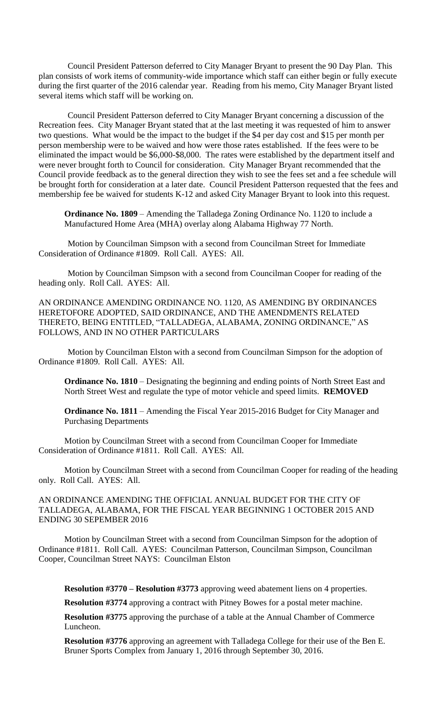Council President Patterson deferred to City Manager Bryant to present the 90 Day Plan. This plan consists of work items of community-wide importance which staff can either begin or fully execute during the first quarter of the 2016 calendar year. Reading from his memo, City Manager Bryant listed several items which staff will be working on.

Council President Patterson deferred to City Manager Bryant concerning a discussion of the Recreation fees. City Manager Bryant stated that at the last meeting it was requested of him to answer two questions. What would be the impact to the budget if the \$4 per day cost and \$15 per month per person membership were to be waived and how were those rates established. If the fees were to be eliminated the impact would be \$6,000-\$8,000. The rates were established by the department itself and were never brought forth to Council for consideration. City Manager Bryant recommended that the Council provide feedback as to the general direction they wish to see the fees set and a fee schedule will be brought forth for consideration at a later date. Council President Patterson requested that the fees and membership fee be waived for students K-12 and asked City Manager Bryant to look into this request.

**Ordinance No. 1809** – Amending the Talladega Zoning Ordinance No. 1120 to include a Manufactured Home Area (MHA) overlay along Alabama Highway 77 North.

Motion by Councilman Simpson with a second from Councilman Street for Immediate Consideration of Ordinance #1809. Roll Call. AYES: All.

Motion by Councilman Simpson with a second from Councilman Cooper for reading of the heading only. Roll Call. AYES: All.

AN ORDINANCE AMENDING ORDINANCE NO. 1120, AS AMENDING BY ORDINANCES HERETOFORE ADOPTED, SAID ORDINANCE, AND THE AMENDMENTS RELATED THERETO, BEING ENTITLED, "TALLADEGA, ALABAMA, ZONING ORDINANCE," AS FOLLOWS, AND IN NO OTHER PARTICULARS

Motion by Councilman Elston with a second from Councilman Simpson for the adoption of Ordinance #1809. Roll Call. AYES: All.

**Ordinance No. 1810** – Designating the beginning and ending points of North Street East and North Street West and regulate the type of motor vehicle and speed limits. **REMOVED**

**Ordinance No. 1811** – Amending the Fiscal Year 2015-2016 Budget for City Manager and Purchasing Departments

Motion by Councilman Street with a second from Councilman Cooper for Immediate Consideration of Ordinance #1811. Roll Call. AYES: All.

Motion by Councilman Street with a second from Councilman Cooper for reading of the heading only. Roll Call. AYES: All.

AN ORDINANCE AMENDING THE OFFICIAL ANNUAL BUDGET FOR THE CITY OF TALLADEGA, ALABAMA, FOR THE FISCAL YEAR BEGINNING 1 OCTOBER 2015 AND ENDING 30 SEPEMBER 2016

Motion by Councilman Street with a second from Councilman Simpson for the adoption of Ordinance #1811. Roll Call. AYES: Councilman Patterson, Councilman Simpson, Councilman Cooper, Councilman Street NAYS: Councilman Elston

**Resolution #3770 – Resolution #3773** approving weed abatement liens on 4 properties.

**Resolution #3774** approving a contract with Pitney Bowes for a postal meter machine.

**Resolution #3775** approving the purchase of a table at the Annual Chamber of Commerce Luncheon.

**Resolution #3776** approving an agreement with Talladega College for their use of the Ben E. Bruner Sports Complex from January 1, 2016 through September 30, 2016.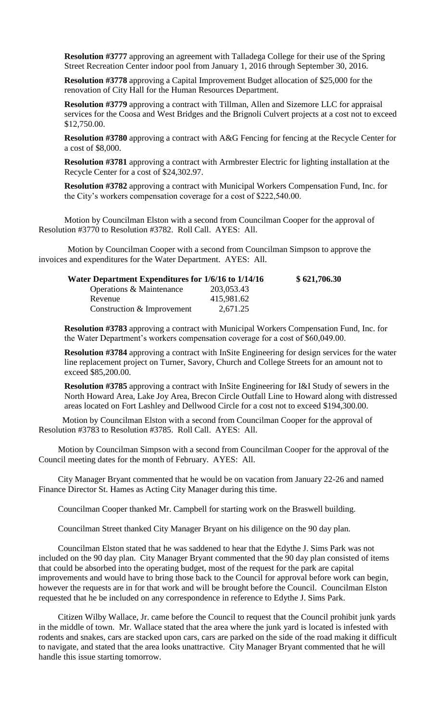**Resolution #3777** approving an agreement with Talladega College for their use of the Spring Street Recreation Center indoor pool from January 1, 2016 through September 30, 2016.

**Resolution #3778** approving a Capital Improvement Budget allocation of \$25,000 for the renovation of City Hall for the Human Resources Department.

**Resolution #3779** approving a contract with Tillman, Allen and Sizemore LLC for appraisal services for the Coosa and West Bridges and the Brignoli Culvert projects at a cost not to exceed \$12,750.00.

**Resolution #3780** approving a contract with A&G Fencing for fencing at the Recycle Center for a cost of \$8,000.

**Resolution #3781** approving a contract with Armbrester Electric for lighting installation at the Recycle Center for a cost of \$24,302.97.

**Resolution #3782** approving a contract with Municipal Workers Compensation Fund, Inc. for the City's workers compensation coverage for a cost of \$222,540.00.

Motion by Councilman Elston with a second from Councilman Cooper for the approval of Resolution #3770 to Resolution #3782. Roll Call. AYES: All.

Motion by Councilman Cooper with a second from Councilman Simpson to approve the invoices and expenditures for the Water Department. AYES: All.

| Water Department Expenditures for 1/6/16 to 1/14/16 | \$621,706.30 |
|-----------------------------------------------------|--------------|
| 203,053.43                                          |              |
| 415,981.62                                          |              |
| 2,671.25                                            |              |
|                                                     |              |

**Resolution #3783** approving a contract with Municipal Workers Compensation Fund, Inc. for the Water Department's workers compensation coverage for a cost of \$60,049.00.

**Resolution #3784** approving a contract with InSite Engineering for design services for the water line replacement project on Turner, Savory, Church and College Streets for an amount not to exceed \$85,200.00.

**Resolution #3785** approving a contract with InSite Engineering for I&I Study of sewers in the North Howard Area, Lake Joy Area, Brecon Circle Outfall Line to Howard along with distressed areas located on Fort Lashley and Dellwood Circle for a cost not to exceed \$194,300.00.

 Motion by Councilman Elston with a second from Councilman Cooper for the approval of Resolution #3783 to Resolution #3785. Roll Call. AYES: All.

Motion by Councilman Simpson with a second from Councilman Cooper for the approval of the Council meeting dates for the month of February. AYES: All.

City Manager Bryant commented that he would be on vacation from January 22-26 and named Finance Director St. Hames as Acting City Manager during this time.

Councilman Cooper thanked Mr. Campbell for starting work on the Braswell building.

Councilman Street thanked City Manager Bryant on his diligence on the 90 day plan.

Councilman Elston stated that he was saddened to hear that the Edythe J. Sims Park was not included on the 90 day plan. City Manager Bryant commented that the 90 day plan consisted of items that could be absorbed into the operating budget, most of the request for the park are capital improvements and would have to bring those back to the Council for approval before work can begin, however the requests are in for that work and will be brought before the Council. Councilman Elston requested that he be included on any correspondence in reference to Edythe J. Sims Park.

Citizen Wilby Wallace, Jr. came before the Council to request that the Council prohibit junk yards in the middle of town. Mr. Wallace stated that the area where the junk yard is located is infested with rodents and snakes, cars are stacked upon cars, cars are parked on the side of the road making it difficult to navigate, and stated that the area looks unattractive. City Manager Bryant commented that he will handle this issue starting tomorrow.